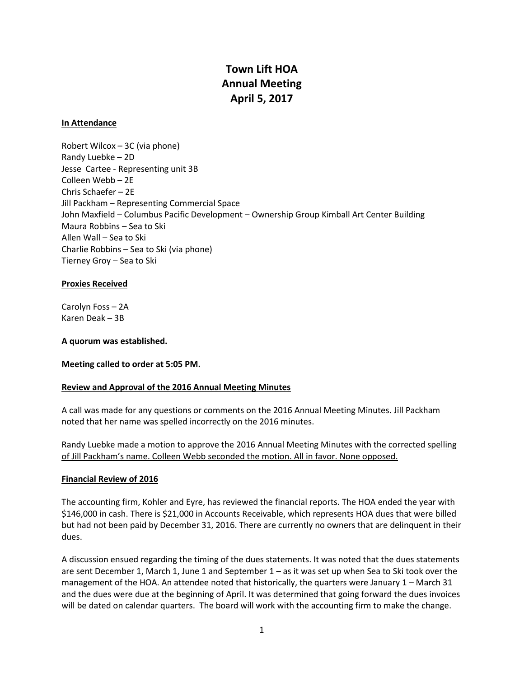# **Town Lift HOA Annual Meeting April 5, 2017**

#### **In Attendance**

Robert Wilcox – 3C (via phone) Randy Luebke – 2D Jesse Cartee - Representing unit 3B Colleen Webb – 2E Chris Schaefer – 2E Jill Packham – Representing Commercial Space John Maxfield – Columbus Pacific Development – Ownership Group Kimball Art Center Building Maura Robbins – Sea to Ski Allen Wall – Sea to Ski Charlie Robbins – Sea to Ski (via phone) Tierney Groy – Sea to Ski

#### **Proxies Received**

Carolyn Foss – 2A Karen Deak – 3B

**A quorum was established.**

**Meeting called to order at 5:05 PM.**

# **Review and Approval of the 2016 Annual Meeting Minutes**

A call was made for any questions or comments on the 2016 Annual Meeting Minutes. Jill Packham noted that her name was spelled incorrectly on the 2016 minutes.

Randy Luebke made a motion to approve the 2016 Annual Meeting Minutes with the corrected spelling of Jill Packham's name. Colleen Webb seconded the motion. All in favor. None opposed.

#### **Financial Review of 2016**

The accounting firm, Kohler and Eyre, has reviewed the financial reports. The HOA ended the year with \$146,000 in cash. There is \$21,000 in Accounts Receivable, which represents HOA dues that were billed but had not been paid by December 31, 2016. There are currently no owners that are delinquent in their dues.

A discussion ensued regarding the timing of the dues statements. It was noted that the dues statements are sent December 1, March 1, June 1 and September 1 – as it was set up when Sea to Ski took over the management of the HOA. An attendee noted that historically, the quarters were January 1 – March 31 and the dues were due at the beginning of April. It was determined that going forward the dues invoices will be dated on calendar quarters. The board will work with the accounting firm to make the change.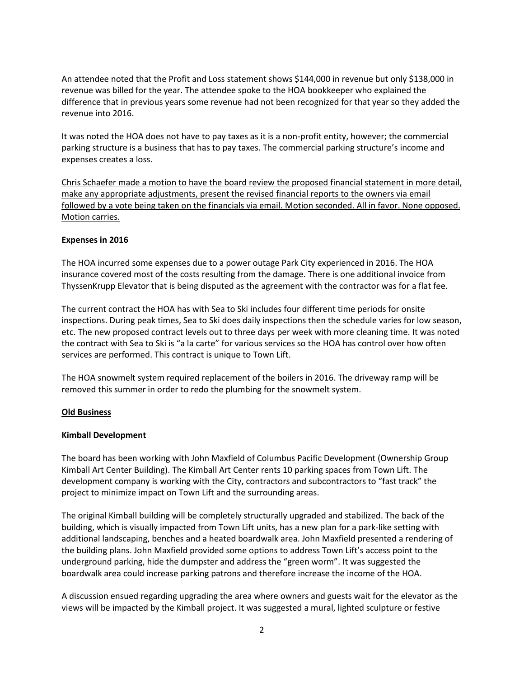An attendee noted that the Profit and Loss statement shows \$144,000 in revenue but only \$138,000 in revenue was billed for the year. The attendee spoke to the HOA bookkeeper who explained the difference that in previous years some revenue had not been recognized for that year so they added the revenue into 2016.

It was noted the HOA does not have to pay taxes as it is a non-profit entity, however; the commercial parking structure is a business that has to pay taxes. The commercial parking structure's income and expenses creates a loss.

Chris Schaefer made a motion to have the board review the proposed financial statement in more detail, make any appropriate adjustments, present the revised financial reports to the owners via email followed by a vote being taken on the financials via email. Motion seconded. All in favor. None opposed. Motion carries.

#### **Expenses in 2016**

The HOA incurred some expenses due to a power outage Park City experienced in 2016. The HOA insurance covered most of the costs resulting from the damage. There is one additional invoice from ThyssenKrupp Elevator that is being disputed as the agreement with the contractor was for a flat fee.

The current contract the HOA has with Sea to Ski includes four different time periods for onsite inspections. During peak times, Sea to Ski does daily inspections then the schedule varies for low season, etc. The new proposed contract levels out to three days per week with more cleaning time. It was noted the contract with Sea to Ski is "a la carte" for various services so the HOA has control over how often services are performed. This contract is unique to Town Lift.

The HOA snowmelt system required replacement of the boilers in 2016. The driveway ramp will be removed this summer in order to redo the plumbing for the snowmelt system.

# **Old Business**

# **Kimball Development**

The board has been working with John Maxfield of Columbus Pacific Development (Ownership Group Kimball Art Center Building). The Kimball Art Center rents 10 parking spaces from Town Lift. The development company is working with the City, contractors and subcontractors to "fast track" the project to minimize impact on Town Lift and the surrounding areas.

The original Kimball building will be completely structurally upgraded and stabilized. The back of the building, which is visually impacted from Town Lift units, has a new plan for a park-like setting with additional landscaping, benches and a heated boardwalk area. John Maxfield presented a rendering of the building plans. John Maxfield provided some options to address Town Lift's access point to the underground parking, hide the dumpster and address the "green worm". It was suggested the boardwalk area could increase parking patrons and therefore increase the income of the HOA.

A discussion ensued regarding upgrading the area where owners and guests wait for the elevator as the views will be impacted by the Kimball project. It was suggested a mural, lighted sculpture or festive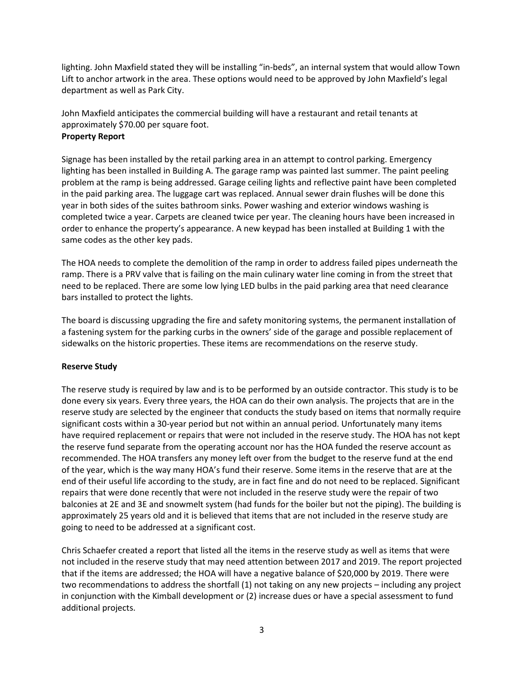lighting. John Maxfield stated they will be installing "in-beds", an internal system that would allow Town Lift to anchor artwork in the area. These options would need to be approved by John Maxfield's legal department as well as Park City.

John Maxfield anticipates the commercial building will have a restaurant and retail tenants at approximately \$70.00 per square foot. **Property Report**

Signage has been installed by the retail parking area in an attempt to control parking. Emergency lighting has been installed in Building A. The garage ramp was painted last summer. The paint peeling problem at the ramp is being addressed. Garage ceiling lights and reflective paint have been completed in the paid parking area. The luggage cart was replaced. Annual sewer drain flushes will be done this year in both sides of the suites bathroom sinks. Power washing and exterior windows washing is completed twice a year. Carpets are cleaned twice per year. The cleaning hours have been increased in order to enhance the property's appearance. A new keypad has been installed at Building 1 with the same codes as the other key pads.

The HOA needs to complete the demolition of the ramp in order to address failed pipes underneath the ramp. There is a PRV valve that is failing on the main culinary water line coming in from the street that need to be replaced. There are some low lying LED bulbs in the paid parking area that need clearance bars installed to protect the lights.

The board is discussing upgrading the fire and safety monitoring systems, the permanent installation of a fastening system for the parking curbs in the owners' side of the garage and possible replacement of sidewalks on the historic properties. These items are recommendations on the reserve study.

# **Reserve Study**

The reserve study is required by law and is to be performed by an outside contractor. This study is to be done every six years. Every three years, the HOA can do their own analysis. The projects that are in the reserve study are selected by the engineer that conducts the study based on items that normally require significant costs within a 30-year period but not within an annual period. Unfortunately many items have required replacement or repairs that were not included in the reserve study. The HOA has not kept the reserve fund separate from the operating account nor has the HOA funded the reserve account as recommended. The HOA transfers any money left over from the budget to the reserve fund at the end of the year, which is the way many HOA's fund their reserve. Some items in the reserve that are at the end of their useful life according to the study, are in fact fine and do not need to be replaced. Significant repairs that were done recently that were not included in the reserve study were the repair of two balconies at 2E and 3E and snowmelt system (had funds for the boiler but not the piping). The building is approximately 25 years old and it is believed that items that are not included in the reserve study are going to need to be addressed at a significant cost.

Chris Schaefer created a report that listed all the items in the reserve study as well as items that were not included in the reserve study that may need attention between 2017 and 2019. The report projected that if the items are addressed; the HOA will have a negative balance of \$20,000 by 2019. There were two recommendations to address the shortfall (1) not taking on any new projects – including any project in conjunction with the Kimball development or (2) increase dues or have a special assessment to fund additional projects.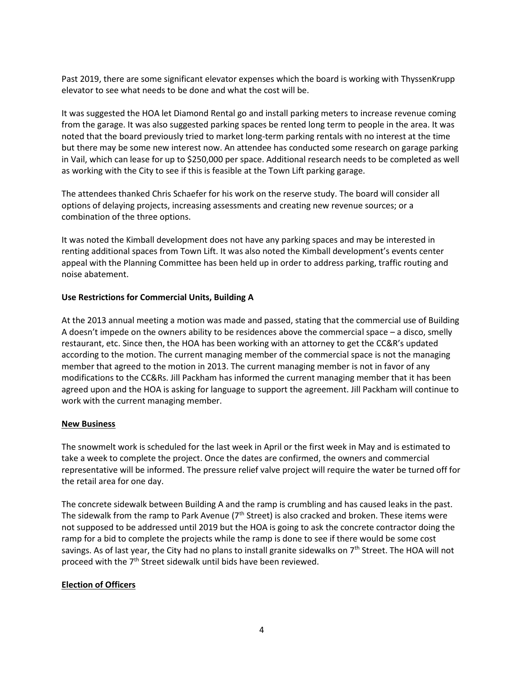Past 2019, there are some significant elevator expenses which the board is working with ThyssenKrupp elevator to see what needs to be done and what the cost will be.

It was suggested the HOA let Diamond Rental go and install parking meters to increase revenue coming from the garage. It was also suggested parking spaces be rented long term to people in the area. It was noted that the board previously tried to market long-term parking rentals with no interest at the time but there may be some new interest now. An attendee has conducted some research on garage parking in Vail, which can lease for up to \$250,000 per space. Additional research needs to be completed as well as working with the City to see if this is feasible at the Town Lift parking garage.

The attendees thanked Chris Schaefer for his work on the reserve study. The board will consider all options of delaying projects, increasing assessments and creating new revenue sources; or a combination of the three options.

It was noted the Kimball development does not have any parking spaces and may be interested in renting additional spaces from Town Lift. It was also noted the Kimball development's events center appeal with the Planning Committee has been held up in order to address parking, traffic routing and noise abatement.

# **Use Restrictions for Commercial Units, Building A**

At the 2013 annual meeting a motion was made and passed, stating that the commercial use of Building A doesn't impede on the owners ability to be residences above the commercial space – a disco, smelly restaurant, etc. Since then, the HOA has been working with an attorney to get the CC&R's updated according to the motion. The current managing member of the commercial space is not the managing member that agreed to the motion in 2013. The current managing member is not in favor of any modifications to the CC&Rs. Jill Packham has informed the current managing member that it has been agreed upon and the HOA is asking for language to support the agreement. Jill Packham will continue to work with the current managing member.

#### **New Business**

The snowmelt work is scheduled for the last week in April or the first week in May and is estimated to take a week to complete the project. Once the dates are confirmed, the owners and commercial representative will be informed. The pressure relief valve project will require the water be turned off for the retail area for one day.

The concrete sidewalk between Building A and the ramp is crumbling and has caused leaks in the past. The sidewalk from the ramp to Park Avenue (7<sup>th</sup> Street) is also cracked and broken. These items were not supposed to be addressed until 2019 but the HOA is going to ask the concrete contractor doing the ramp for a bid to complete the projects while the ramp is done to see if there would be some cost savings. As of last year, the City had no plans to install granite sidewalks on 7<sup>th</sup> Street. The HOA will not proceed with the 7<sup>th</sup> Street sidewalk until bids have been reviewed.

# **Election of Officers**